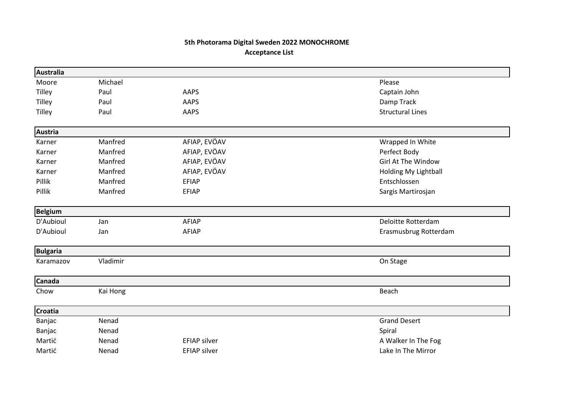## 5th Photorama Digital Sweden 2022 MONOCHROME Acceptance List

| Australia       |          |                     |                             |
|-----------------|----------|---------------------|-----------------------------|
| Moore           | Michael  |                     | Please                      |
| <b>Tilley</b>   | Paul     | AAPS                | Captain John                |
| <b>Tilley</b>   | Paul     | AAPS                | Damp Track                  |
| <b>Tilley</b>   | Paul     | AAPS                | <b>Structural Lines</b>     |
| <b>Austria</b>  |          |                     |                             |
| Karner          | Manfred  | AFIAP, EVÖAV        | Wrapped In White            |
| Karner          | Manfred  | AFIAP, EVÖAV        | Perfect Body                |
| Karner          | Manfred  | AFIAP, EVÖAV        | Girl At The Window          |
| Karner          | Manfred  | AFIAP, EVÖAV        | <b>Holding My Lightball</b> |
| Pillik          | Manfred  | <b>EFIAP</b>        | Entschlossen                |
| Pillik          | Manfred  | <b>EFIAP</b>        | Sargis Martirosjan          |
| <b>Belgium</b>  |          |                     |                             |
| D'Aubioul       | Jan      | AFIAP               | Deloitte Rotterdam          |
| D'Aubioul       | Jan      | AFIAP               | Erasmusbrug Rotterdam       |
| <b>Bulgaria</b> |          |                     |                             |
| Karamazov       | Vladimir |                     | On Stage                    |
| <b>Canada</b>   |          |                     |                             |
| Chow            | Kai Hong |                     | Beach                       |
| <b>Croatia</b>  |          |                     |                             |
| Banjac          | Nenad    |                     | <b>Grand Desert</b>         |
| Banjac          | Nenad    |                     | Spiral                      |
| Martić          | Nenad    | <b>EFIAP silver</b> | A Walker In The Fog         |
| Martić          | Nenad    | <b>EFIAP silver</b> | Lake In The Mirror          |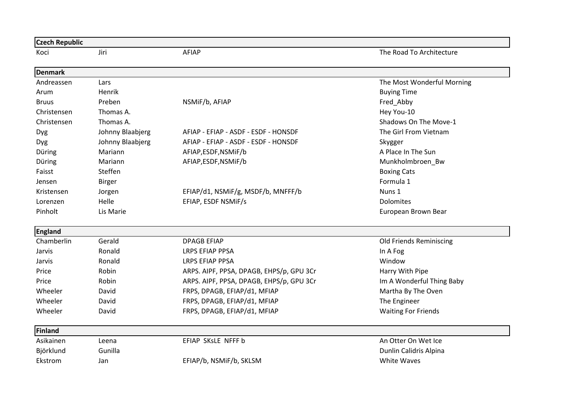| <b>Czech Republic</b> |                  |                                          |                                |
|-----------------------|------------------|------------------------------------------|--------------------------------|
| Koci                  | Jiri             | <b>AFIAP</b>                             | The Road To Architecture       |
| <b>Denmark</b>        |                  |                                          |                                |
| Andreassen            | Lars             |                                          | The Most Wonderful Morning     |
| Arum                  | Henrik           |                                          | <b>Buying Time</b>             |
| <b>Bruus</b>          | Preben           | NSMiF/b, AFIAP                           | Fred_Abby                      |
| Christensen           | Thomas A.        |                                          | Hey You-10                     |
| Christensen           | Thomas A.        |                                          | Shadows On The Move-1          |
| Dyg                   | Johnny Blaabjerg | AFIAP - EFIAP - ASDF - ESDF - HONSDF     | The Girl From Vietnam          |
| Dyg                   | Johnny Blaabjerg | AFIAP - EFIAP - ASDF - ESDF - HONSDF     | Skygger                        |
| Düring                | Mariann          | AFIAP, ESDF, NSMIF/b                     | A Place In The Sun             |
| Düring                | Mariann          | AFIAP, ESDF, NSMIF/b                     | Munkholmbroen_Bw               |
| Faisst                | Steffen          |                                          | <b>Boxing Cats</b>             |
| Jensen                | <b>Birger</b>    |                                          | Formula 1                      |
| Kristensen            | Jorgen           | EFIAP/d1, NSMiF/g, MSDF/b, MNFFF/b       | Nuns 1                         |
| Lorenzen              | Helle            | EFIAP, ESDF NSMIF/s                      | Dolomites                      |
| Pinholt               | Lis Marie        |                                          | European Brown Bear            |
| <b>England</b>        |                  |                                          |                                |
| Chamberlin            | Gerald           | <b>DPAGB EFIAP</b>                       | <b>Old Friends Reminiscing</b> |
| Jarvis                | Ronald           | <b>LRPS EFIAP PPSA</b>                   | In A Fog                       |
| Jarvis                | Ronald           | <b>LRPS EFIAP PPSA</b>                   | Window                         |
| Price                 | Robin            | ARPS. AIPF, PPSA, DPAGB, EHPS/p, GPU 3Cr | Harry With Pipe                |
| Price                 | Robin            | ARPS. AIPF, PPSA, DPAGB, EHPS/p, GPU 3Cr | Im A Wonderful Thing Baby      |
| Wheeler               | David            | FRPS, DPAGB, EFIAP/d1, MFIAP             | Martha By The Oven             |
| Wheeler               | David            | FRPS, DPAGB, EFIAP/d1, MFIAP             | The Engineer                   |
| Wheeler               | David            | FRPS, DPAGB, EFIAP/d1, MFIAP             | <b>Waiting For Friends</b>     |
| Finland               |                  |                                          |                                |
| Asikainen             | Leena            | EFIAP SKsLE NFFF b                       | An Otter On Wet Ice            |
| Björklund             | Gunilla          |                                          | Dunlin Calidris Alpina         |
| Ekstrom               | Jan              | EFIAP/b, NSMiF/b, SKLSM                  | <b>White Waves</b>             |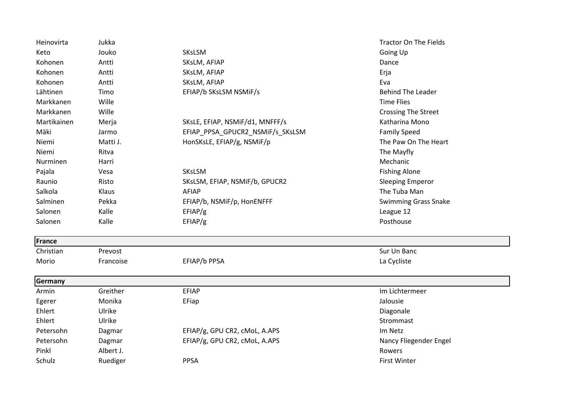| Heinovirta  | Jukka     |                                  | <b>Tractor On The Fields</b> |
|-------------|-----------|----------------------------------|------------------------------|
| Keto        | Jouko     | SKsLSM                           | Going Up                     |
| Kohonen     | Antti     | SKsLM, AFIAP                     | Dance                        |
| Kohonen     | Antti     | SKsLM, AFIAP                     | Erja                         |
| Kohonen     | Antti     | SKsLM, AFIAP                     | Eva                          |
| Lähtinen    | Timo      | EFIAP/b SKsLSM NSMiF/s           | <b>Behind The Leader</b>     |
| Markkanen   | Wille     |                                  | <b>Time Flies</b>            |
| Markkanen   | Wille     |                                  | <b>Crossing The Street</b>   |
| Martikainen | Merja     | SKsLE, EFIAP, NSMiF/d1, MNFFF/s  | Katharina Mono               |
| Mäki        | Jarmo     | EFIAP_PPSA_GPUCR2_NSMiF/s_SKsLSM | <b>Family Speed</b>          |
| Niemi       | Matti J.  | HonSKsLE, EFIAP/g, NSMiF/p       | The Paw On The Heart         |
| Niemi       | Ritva     |                                  | The Mayfly                   |
| Nurminen    | Harri     |                                  | Mechanic                     |
| Pajala      | Vesa      | SKsLSM                           | <b>Fishing Alone</b>         |
| Raunio      | Risto     | SKsLSM, EFIAP, NSMiF/b, GPUCR2   | <b>Sleeping Emperor</b>      |
| Salkola     | Klaus     | <b>AFIAP</b>                     | The Tuba Man                 |
| Salminen    | Pekka     | EFIAP/b, NSMiF/p, HonENFFF       | <b>Swimming Grass Snake</b>  |
| Salonen     | Kalle     | EFIAP/g                          | League 12                    |
| Salonen     | Kalle     | EFIAP/g                          | Posthouse                    |
| France      |           |                                  |                              |
| Christian   | Prevost   |                                  | Sur Un Banc                  |
| Morio       | Francoise | EFIAP/b PPSA                     | La Cycliste                  |
| Germany     |           |                                  |                              |
| Armin       | Greither  | <b>EFIAP</b>                     | Im Lichtermeer               |
| Egerer      | Monika    | EFiap                            | Jalousie                     |
| Ehlert      | Ulrike    |                                  | Diagonale                    |
| Ehlert      | Ulrike    |                                  | Strommast                    |
| Petersohn   | Dagmar    | EFIAP/g, GPU CR2, cMoL, A.APS    | Im Netz                      |
| Petersohn   | Dagmar    | EFIAP/g, GPU CR2, cMoL, A.APS    | Nancy Fliegender Engel       |
| Pinkl       | Albert J. |                                  | Rowers                       |
| Schulz      | Ruediger  | <b>PPSA</b>                      | <b>First Winter</b>          |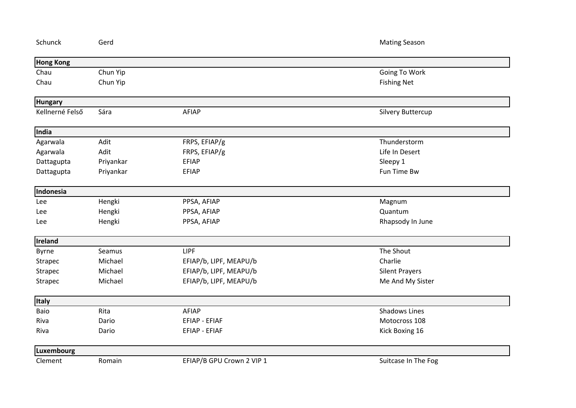| Schunck          | Gerd      |                           | <b>Mating Season</b>  |  |
|------------------|-----------|---------------------------|-----------------------|--|
| <b>Hong Kong</b> |           |                           |                       |  |
| Chau             | Chun Yip  |                           | Going To Work         |  |
| Chau             | Chun Yip  |                           | <b>Fishing Net</b>    |  |
| <b>Hungary</b>   |           |                           |                       |  |
| Kellnerné Felső  | Sára      | AFIAP                     | Silvery Buttercup     |  |
| India            |           |                           |                       |  |
| Agarwala         | Adit      | FRPS, EFIAP/g             | Thunderstorm          |  |
| Agarwala         | Adit      | FRPS, EFIAP/g             | Life In Desert        |  |
| Dattagupta       | Priyankar | <b>EFIAP</b>              | Sleepy 1              |  |
| Dattagupta       | Priyankar | <b>EFIAP</b>              | Fun Time Bw           |  |
| Indonesia        |           |                           |                       |  |
| Lee              | Hengki    | PPSA, AFIAP               | Magnum                |  |
| Lee              | Hengki    | PPSA, AFIAP               | Quantum               |  |
| Lee              | Hengki    | PPSA, AFIAP               | Rhapsody In June      |  |
| <b>Ireland</b>   |           |                           |                       |  |
| Byrne            | Seamus    | <b>LIPF</b>               | The Shout             |  |
| Strapec          | Michael   | EFIAP/b, LIPF, MEAPU/b    | Charlie               |  |
| Strapec          | Michael   | EFIAP/b, LIPF, MEAPU/b    | <b>Silent Prayers</b> |  |
| <b>Strapec</b>   | Michael   | EFIAP/b, LIPF, MEAPU/b    | Me And My Sister      |  |
| Italy            |           |                           |                       |  |
| Baio             | Rita      | AFIAP                     | <b>Shadows Lines</b>  |  |
| Riva             | Dario     | <b>EFIAP - EFIAF</b>      | Motocross 108         |  |
| Riva             | Dario     | EFIAP - EFIAF             | Kick Boxing 16        |  |
| Luxembourg       |           |                           |                       |  |
| Clement          | Romain    | EFIAP/B GPU Crown 2 VIP 1 | Suitcase In The Fog   |  |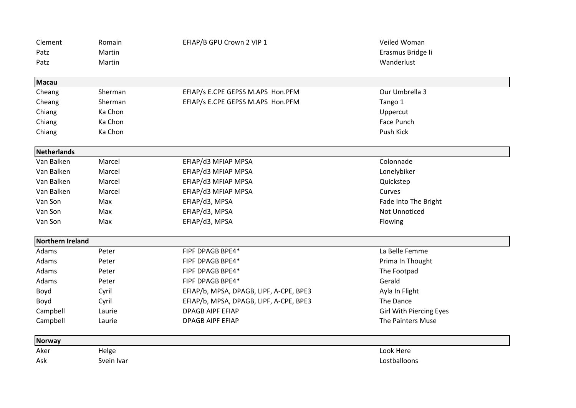| Clement          | Romain     | EFIAP/B GPU Crown 2 VIP 1               | Veiled Woman                   |
|------------------|------------|-----------------------------------------|--------------------------------|
| Patz             | Martin     |                                         | Erasmus Bridge li              |
| Patz             | Martin     |                                         | Wanderlust                     |
| <b>Macau</b>     |            |                                         |                                |
| Cheang           | Sherman    | EFIAP/s E.CPE GEPSS M.APS Hon.PFM       | Our Umbrella 3                 |
| Cheang           | Sherman    | EFIAP/s E.CPE GEPSS M.APS Hon.PFM       | Tango 1                        |
| Chiang           | Ka Chon    |                                         | Uppercut                       |
| Chiang           | Ka Chon    |                                         | Face Punch                     |
| Chiang           | Ka Chon    |                                         | Push Kick                      |
| Netherlands      |            |                                         |                                |
| Van Balken       | Marcel     | EFIAP/d3 MFIAP MPSA                     | Colonnade                      |
| Van Balken       | Marcel     | EFIAP/d3 MFIAP MPSA                     | Lonelybiker                    |
| Van Balken       | Marcel     | EFIAP/d3 MFIAP MPSA                     | Quickstep                      |
| Van Balken       | Marcel     | EFIAP/d3 MFIAP MPSA                     | Curves                         |
| Van Son          | Max        | EFIAP/d3, MPSA                          | Fade Into The Bright           |
| Van Son          | Max        | EFIAP/d3, MPSA                          | <b>Not Unnoticed</b>           |
| Van Son          | Max        | EFIAP/d3, MPSA                          | Flowing                        |
| Northern Ireland |            |                                         |                                |
| Adams            | Peter      | FIPF DPAGB BPE4*                        | La Belle Femme                 |
| Adams            | Peter      | FIPF DPAGB BPE4*                        | Prima In Thought               |
| Adams            | Peter      | FIPF DPAGB BPE4*                        | The Footpad                    |
| Adams            | Peter      | FIPF DPAGB BPE4*                        | Gerald                         |
| Boyd             | Cyril      | EFIAP/b, MPSA, DPAGB, LIPF, A-CPE, BPE3 | Ayla In Flight                 |
| Boyd             | Cyril      | EFIAP/b, MPSA, DPAGB, LIPF, A-CPE, BPE3 | The Dance                      |
| Campbell         | Laurie     | <b>DPAGB AIPF EFIAP</b>                 | <b>Girl With Piercing Eyes</b> |
| Campbell         | Laurie     | <b>DPAGB AIPF EFIAP</b>                 | The Painters Muse              |
| <b>Norway</b>    |            |                                         |                                |
| Aker             | Helge      |                                         | Look Here                      |
| Ask              | Svein Ivar |                                         | Lostballoons                   |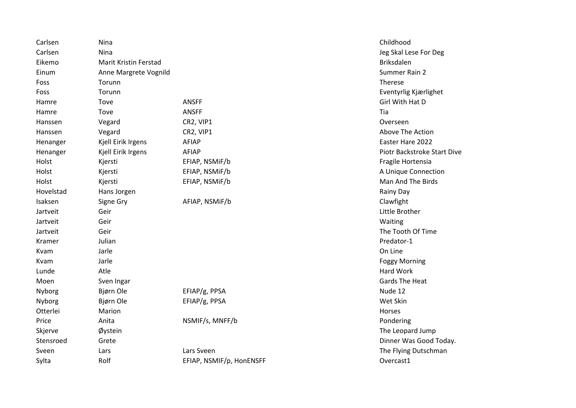| Carlsen   | Nina                  |                          | Childhood            |
|-----------|-----------------------|--------------------------|----------------------|
| Carlsen   | Nina                  |                          | Jeg Skal Lese For    |
| Eikemo    | Marit Kristin Ferstad |                          | <b>Briksdalen</b>    |
| Einum     | Anne Margrete Vognild |                          | Summer Rain 2        |
| Foss      | Torunn                |                          | Therese              |
| Foss      | Torunn                |                          | Eventyrlig Kjærlig   |
| Hamre     | Tove                  | <b>ANSFF</b>             | Girl With Hat D      |
| Hamre     | Tove                  | <b>ANSFF</b>             | Tia                  |
| Hanssen   | Vegard                | CR2, VIP1                | Overseen             |
| Hanssen   | Vegard                | CR2, VIP1                | Above The Action     |
| Henanger  | Kjell Eirik Irgens    | <b>AFIAP</b>             | Easter Hare 2022     |
| Henanger  | Kjell Eirik Irgens    | <b>AFIAP</b>             | Piotr Backstroke     |
| Holst     | Kjersti               | EFIAP, NSMIF/b           | Fragile Hortensia    |
| Holst     | Kjersti               | EFIAP, NSMIF/b           | A Unique Connec      |
| Holst     | Kjersti               | EFIAP, NSMiF/b           | Man And The Bir      |
| Hovelstad | Hans Jorgen           |                          | <b>Rainy Day</b>     |
| Isaksen   | Signe Gry             | AFIAP, NSMIF/b           | Clawfight            |
| Jartveit  | Geir                  |                          | Little Brother       |
| Jartveit  | Geir                  |                          | Waiting              |
| Jartveit  | Geir                  |                          | The Tooth Of Tim     |
| Kramer    | Julian                |                          | Predator-1           |
| Kvam      | Jarle                 |                          | On Line              |
| Kvam      | Jarle                 |                          | <b>Foggy Morning</b> |
| Lunde     | Atle                  |                          | <b>Hard Work</b>     |
| Moen      | Sven Ingar            |                          | Gards The Heat       |
| Nyborg    | Bjørn Ole             | EFIAP/g, PPSA            | Nude 12              |
| Nyborg    | Bjørn Ole             | EFIAP/g, PPSA            | Wet Skin             |
| Otterlei  | Marion                |                          | Horses               |
| Price     | Anita                 | NSMIF/s, MNFF/b          | Pondering            |
| Skjerve   | Øystein               |                          | The Leopard Jum      |
| Stensroed | Grete                 |                          | Dinner Was Good      |
| Sveen     | Lars                  | Lars Sveen               | The Flying Dutsch    |
| Sylta     | Rolf                  | EFIAP, NSMIF/p, HonENSFF | Overcast1            |

Jeg Skal Lese For Deg Eventyrlig Kjærlighet Above The Action Piotr Backstroke Start Dive Fragile Hortensia A Unique Connection Man And The Birds The Tooth Of Time Foggy Morning Gards The Heat The Leopard Jump Dinner Was Good Today. The Flying Dutschman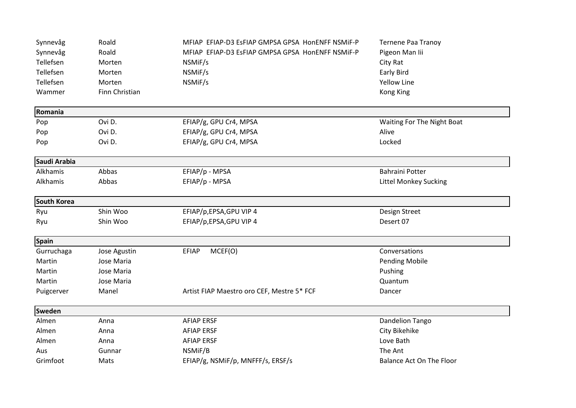| Synnevåg      | Roald          | MFIAP EFIAP-D3 EsFIAP GMPSA GPSA HonENFF NSMIF-P | <b>Ternene Paa Tranoy</b>       |
|---------------|----------------|--------------------------------------------------|---------------------------------|
| Synnevåg      | Roald          | MFIAP EFIAP-D3 EsFIAP GMPSA GPSA HonENFF NSMIF-P | Pigeon Man lii                  |
| Tellefsen     | Morten         | NSMiF/s                                          | City Rat                        |
| Tellefsen     | Morten         | NSMiF/s                                          | <b>Early Bird</b>               |
| Tellefsen     | Morten         | NSMiF/s                                          | <b>Yellow Line</b>              |
| Wammer        | Finn Christian |                                                  | Kong King                       |
| Romania       |                |                                                  |                                 |
| Pop           | Ovi D.         | EFIAP/g, GPU Cr4, MPSA                           | Waiting For The Night Boat      |
| Pop           | Ovi D.         | EFIAP/g, GPU Cr4, MPSA                           | Alive                           |
| Pop           | Ovi D.         | EFIAP/g, GPU Cr4, MPSA                           | Locked                          |
| Saudi Arabia  |                |                                                  |                                 |
| Alkhamis      | Abbas          | EFIAP/p - MPSA                                   | <b>Bahraini Potter</b>          |
| Alkhamis      | Abbas          | EFIAP/p - MPSA                                   | <b>Littel Monkey Sucking</b>    |
| South Korea   |                |                                                  |                                 |
| Ryu           | Shin Woo       | EFIAP/p,EPSA,GPU VIP 4                           | Design Street                   |
| Ryu           | Shin Woo       | EFIAP/p,EPSA,GPU VIP 4                           | Desert 07                       |
| <b>Spain</b>  |                |                                                  |                                 |
| Gurruchaga    | Jose Agustin   | MCEF(O)<br><b>EFIAP</b>                          | Conversations                   |
| Martin        | Jose Maria     |                                                  | <b>Pending Mobile</b>           |
| Martin        | Jose Maria     |                                                  | Pushing                         |
| Martin        | Jose Maria     |                                                  | Quantum                         |
| Puigcerver    | Manel          | Artist FIAP Maestro oro CEF, Mestre 5* FCF       | Dancer                          |
| <b>Sweden</b> |                |                                                  |                                 |
| Almen         | Anna           | <b>AFIAP ERSF</b>                                | Dandelion Tango                 |
| Almen         | Anna           | <b>AFIAP ERSF</b>                                | City Bikehike                   |
| Almen         | Anna           | <b>AFIAP ERSF</b>                                | Love Bath                       |
| Aus           | Gunnar         | NSMIF/B                                          | The Ant                         |
| Grimfoot      | Mats           | EFIAP/g, NSMiF/p, MNFFF/s, ERSF/s                | <b>Balance Act On The Floor</b> |